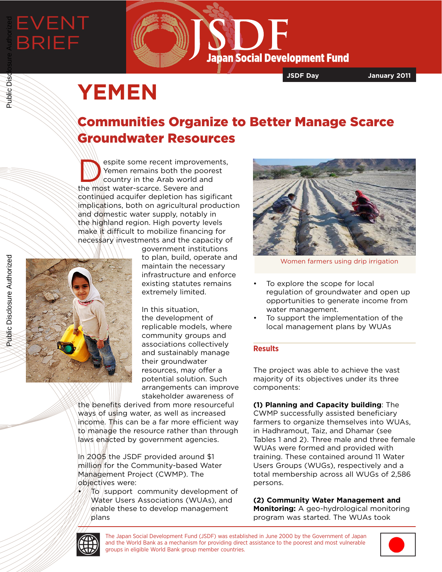# EVENT BRIEF Public Disclosure Authorized



**JSDF Day January 2011**

## **YEMEN**

### Communities Organize to Better Manage Scarce Groundwater Resources

espite some recent improvements,<br>
Yemen remains both the poorest<br>
country in the Arab world and<br>
the most water seares, Sovere and Yemen remains both the poorest country in the Arab world and the most water-scarce. Severe and continued acquifer depletion has sigificant implications, both on agricultural production and domestic water supply, notably in the highland region. High poverty levels make it difficult to mobilize financing for necessary investments and the capacity of

Public Disclosure Authorized

Public Disclosure Authorized

Public Disc



government institutions to plan, build, operate and maintain the necessary infrastructure and enforce existing statutes remains extremely limited.

In this situation, the development of replicable models, where community groups and associations collectively and sustainably manage their groundwater resources, may offer a potential solution. Such arrangements can improve stakeholder awareness of

the benefits derived from more resourceful ways of using water, as well as increased income. This can be a far more efficient way to manage the resource rather than through laws enacted by government agencies.

In 2005 the JSDF provided around \$1 million for the Community-based Water Management Project (CWMP). The objectives were:

To support community development of Water Users Associations (WUAs), and enable these to develop management plans



Women farmers using drip irrigation

- To explore the scope for local regulation of groundwater and open up opportunities to generate income from water management.
- To support the implementation of the local management plans by WUAs

#### **Results**

The project was able to achieve the vast majority of its objectives under its three components:

**(1) Planning and Capacity building**: The CWMP successfully assisted beneficiary farmers to organize themselves into WUAs, in Hadhramout, Taiz, and Dhamar (see Tables 1 and 2). Three male and three female WUAs were formed and provided with training. These contained around 11 Water Users Groups (WUGs), respectively and a total membership across all WUGs of 2,586 persons.

**(2) Community Water Management and Monitoring:** A geo-hydrological monitoring program was started. The WUAs took



The Japan Social Development Fund (JSDF) was established in June 2000 by the Government of Japan and the World Bank as a mechanism for providing direct assistance to the poorest and most vulnerable groups in eligible World Bank group member countries.

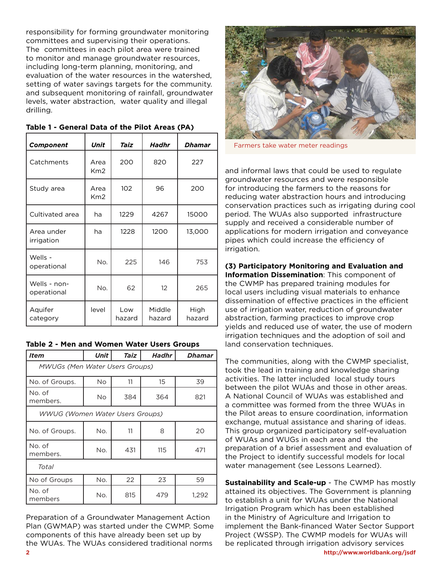responsibility for forming groundwater monitoring committees and supervising their operations. The committees in each pilot area were trained to monitor and manage groundwater resources, including long-term planning, monitoring, and evaluation of the water resources in the watershed, setting of water savings targets for the community. and subsequent monitoring of rainfall, groundwater levels, water abstraction, water quality and illegal drilling.

| Component                   | Unit                    | Taiz          | Hadhr            | <b>Dhamar</b>  |
|-----------------------------|-------------------------|---------------|------------------|----------------|
| Catchments                  | Area<br>Km <sub>2</sub> | 200           | 820              | 227            |
| Study area                  | Area<br>Km2             | 102           | 96               | 200            |
| Cultivated area             | ha                      | 1229          | 4267             | 15000          |
| Area under<br>irrigation    | ha                      | 1228          | 1200             | 13,000         |
| Wells -<br>operational      | No.                     | 225           | 146              | 753            |
| Wells - non-<br>operational | No.                     | 62            | 12               | 265            |
| Aquifer<br>category         | level                   | Low<br>hazard | Middle<br>hazard | High<br>hazard |

|  |  | Table 1 - General Data of the Pilot Areas (PA) |  |  |  |  |  |  |  |
|--|--|------------------------------------------------|--|--|--|--|--|--|--|
|--|--|------------------------------------------------|--|--|--|--|--|--|--|

|  | Table 2 - Men and Women Water Users Groups |  |  |  |  |
|--|--------------------------------------------|--|--|--|--|
|--|--------------------------------------------|--|--|--|--|

| <i>Item</i>                            | Unit | Taiz | Hadhr | <b>Dhamar</b> |  |  |  |
|----------------------------------------|------|------|-------|---------------|--|--|--|
| <b>MWUGs (Men Water Users Groups)</b>  |      |      |       |               |  |  |  |
| No. of Groups.                         | No   | 11   | 15    | 39            |  |  |  |
| No. of<br>members.                     | No.  | 384  | 364   | 821           |  |  |  |
| <b>WWUG (Women Water Users Groups)</b> |      |      |       |               |  |  |  |
| No. of Groups.                         | No.  | 11   | 8     | 20            |  |  |  |
| No. of<br>members.                     | No.  | 431  | 115   | 471           |  |  |  |
| Total                                  |      |      |       |               |  |  |  |
| No of Groups                           | No.  | 22   | 23    | 59            |  |  |  |
| No. of<br>members                      | No.  | 815  | 479   | 1,292         |  |  |  |

Preparation of a Groundwater Management Action Plan (GWMAP) was started under the CWMP. Some components of this have already been set up by the WUAs. The WUAs considered traditional norms



Farmers take water meter readings

and informal laws that could be used to regulate groundwater resources and were responsible for introducing the farmers to the reasons for reducing water abstraction hours and introducing conservation practices such as irrigating during cool period. The WUAs also supported infrastructure supply and received a considerable number of applications for modern irrigation and conveyance pipes which could increase the efficiency of irrigation.

**(3) Participatory Monitoring and Evaluation and Information Dissemination**: This component of the CWMP has prepared training modules for local users including visual materials to enhance dissemination of effective practices in the efficient use of irrigation water, reduction of groundwater abstraction, farming practices to improve crop yields and reduced use of water, the use of modern irrigation techniques and the adoption of soil and land conservation techniques.

The communities, along with the CWMP specialist, took the lead in training and knowledge sharing activities. The latter included local study tours between the pilot WUAs and those in other areas. A National Council of WUAs was established and a committee was formed from the three WUAs in the Pilot areas to ensure coordination, information exchange, mutual assistance and sharing of ideas. This group organized participatory self-evaluation of WUAs and WUGs in each area and the preparation of a brief assessment and evaluation of the Project to identify successful models for local water management (see Lessons Learned).

**Sustainability and Scale-up** - The CWMP has mostly attained its objectives. The Government is planning to establish a unit for WUAs under the National Irrigation Program which has been established in the Ministry of Agriculture and Irrigation to implement the Bank-financed Water Sector Support Project (WSSP). The CWMP models for WUAs will be replicated through irrigation advisory services **2 http://www.worldbank.org/jsdf**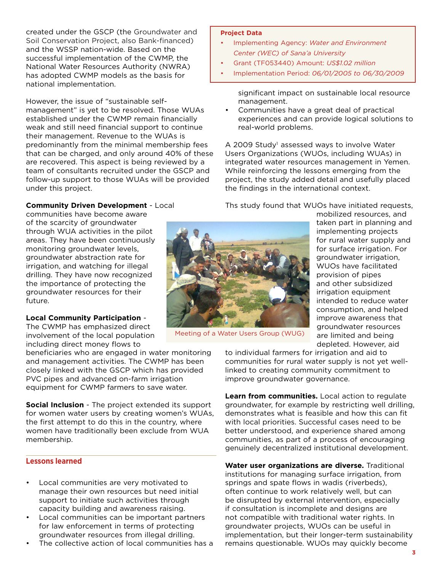created under the GSCP (the Groundwater and Soil Conservation Project, also Bank-financed) and the WSSP nation-wide. Based on the successful implementation of the CWMP, the National Water Resources Authority (NWRA) has adopted CWMP models as the basis for national implementation.

However, the issue of "sustainable selfmanagement" is yet to be resolved. Those WUAs established under the CWMP remain financially weak and still need financial support to continue their management. Revenue to the WUAs is predominantly from the minimal membership fees that can be charged, and only around 40% of these are recovered. This aspect is being reviewed by a team of consultants recruited under the GSCP and follow-up support to those WUAs will be provided under this project.

#### **Community Driven Development** - Local

communities have become aware of the scarcity of groundwater through WUA activities in the pilot areas. They have been continuously monitoring groundwater levels, groundwater abstraction rate for irrigation, and watching for illegal drilling. They have now recognized the importance of protecting the groundwater resources for their future.

#### **Local Community Participation** -

The CWMP has emphasized direct involvement of the local population including direct money flows to

beneficiaries who are engaged in water monitoring and management activities. The CWMP has been closely linked with the GSCP which has provided PVC pipes and advanced on-farm irrigation equipment for CWMP farmers to save water.

**Social Inclusion** - The project extended its support for women water users by creating women's WUAs, the first attempt to do this in the country, where women have traditionally been exclude from WUA membership.

#### **Lessons learned**

- Local communities are very motivated to manage their own resources but need initial support to initiate such activities through capacity building and awareness raising.
- Local communities can be important partners for law enforcement in terms of protecting groundwater resources from illegal drilling.
- The collective action of local communities has a

#### **Project Data**

- Implementing Agency: *Water and Environment Center (WEC) of Sana'a University*
- Grant (TF053440) Amount: *US\$1.02 million*
- Implementation Period: *06/01/2005 to 06/30/2009*

significant impact on sustainable local resource management.

• Communities have a great deal of practical experiences and can provide logical solutions to real-world problems.

A 2009 Study<sup>1</sup> assessed ways to involve Water Users Organizations (WUOs, including WUAs) in integrated water resources management in Yemen. While reinforcing the lessons emerging from the project, the study added detail and usefully placed the findings in the international context.

Ths study found that WUOs have initiated requests,



Meeting of a Water Users Group (WUG)

taken part in planning and implementing projects for rural water supply and for surface irrigation. For groundwater irrigation, WUOs have facilitated provision of pipes and other subsidized irrigation equipment intended to reduce water consumption, and helped improve awareness that groundwater resources are limited and being depleted. However, aid

mobilized resources, and

to individual farmers for irrigation and aid to communities for rural water supply is not yet welllinked to creating community commitment to improve groundwater governance.

**Learn from communities.** Local action to regulate groundwater, for example by restricting well drilling, demonstrates what is feasible and how this can fit with local priorities. Successful cases need to be better understood, and experience shared among communities, as part of a process of encouraging genuinely decentralized institutional development.

**Water user organizations are diverse.** Traditional institutions for managing surface irrigation, from springs and spate flows in wadis (riverbeds), often continue to work relatively well, but can be disrupted by external intervention, especially if consultation is incomplete and designs are not compatible with traditional water rights. In groundwater projects, WUOs can be useful in implementation, but their longer-term sustainability remains questionable. WUOs may quickly become